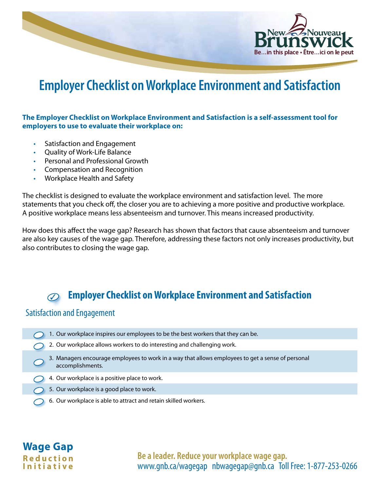

# **Employer Checklist on Workplace Environment and Satisfaction**

#### **The Employer Checklist on Workplace Environment and Satisfaction is a self-assessment tool for employers to use to evaluate their workplace on:**

- Satisfaction and Engagement
- Quality of Work-Life Balance
- Personal and Professional Growth
- Compensation and Recognition
- Workplace Health and Safety

The checklist is designed to evaluate the workplace environment and satisfaction level. The more statements that you check off, the closer you are to achieving a more positive and productive workplace. A positive workplace means less absenteeism and turnover. This means increased productivity.

How does this affect the wage gap? Research has shown that factors that cause absenteeism and turnover are also key causes of the wage gap. Therefore, addressing these factors not only increases productivity, but also contributes to closing the wage gap.

#### **Employer Checklist on Workplace Environment and Satisfaction**  $\mathcal{D}$

#### Satisfaction and Engagement

**Wage Gap R e d u c t i o n I n i t i a t i v e**

| 1. Our workplace inspires our employees to be the best workers that they can be.<br>2. Our workplace allows workers to do interesting and challenging work.<br>3. Managers encourage employees to work in a way that allows employees to get a sense of personal<br>accomplishments.<br>4. Our workplace is a positive place to work.<br>5. Our workplace is a good place to work.<br>6. Our workplace is able to attract and retain skilled workers. |  |
|-------------------------------------------------------------------------------------------------------------------------------------------------------------------------------------------------------------------------------------------------------------------------------------------------------------------------------------------------------------------------------------------------------------------------------------------------------|--|
|                                                                                                                                                                                                                                                                                                                                                                                                                                                       |  |
|                                                                                                                                                                                                                                                                                                                                                                                                                                                       |  |
|                                                                                                                                                                                                                                                                                                                                                                                                                                                       |  |
|                                                                                                                                                                                                                                                                                                                                                                                                                                                       |  |
|                                                                                                                                                                                                                                                                                                                                                                                                                                                       |  |
|                                                                                                                                                                                                                                                                                                                                                                                                                                                       |  |

**Be a leader. Reduce your workplace wage gap.** www.gnb.ca/wagegap nbwagegap@gnb.ca Toll Free: 1-877-253-0266